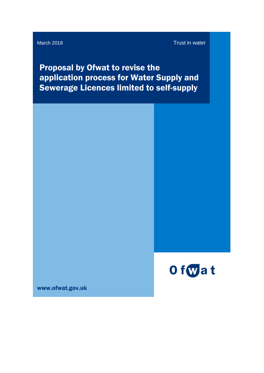March 2018 Trust in water

Proposal by Ofwat to revise the application process for Water Supply and Sewerage Licences limited to self-supply



www.ofwat.gov.uk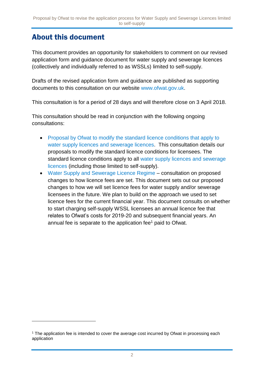#### <span id="page-1-0"></span>About this document

1

This document provides an opportunity for stakeholders to comment on our revised application form and guidance document for water supply and sewerage licences (collectively and individually referred to as WSSLs) limited to self-supply.

Drafts of the revised application form and guidance are published as supporting documents to this consultation on our website [www.ofwat.gov.uk.](http://www.ofwat.gov.uk/)

This consultation is for a period of 28 days and will therefore close on 3 April 2018.

This consultation should be read in conjunction with the following ongoing consultations:

- Proposal by Ofwat to modify the standard licence conditions that apply to [water supply licences and sewerage licences.](https://www.ofwat.gov.uk/consultation/proposal-by-ofwat-to-modify-the-standard-licence-conditions-that-apply-to-water-supply-licences-and-sewerage-licences/) This consultation details our proposals to modify the standard licence conditions for licensees. The standard licence conditions apply to all [water supply licences and sewerage](https://www.ofwat.gov.uk/regulated-companies/ofwat-industry-overview/licences/)  [licences](https://www.ofwat.gov.uk/regulated-companies/ofwat-industry-overview/licences/) (including those limited to self-supply).
- [Water Supply and Sewerage Licence Regime](https://www.ofwat.gov.uk/consultation/water-supply-sewerage-licensing-regime-consultation-proposed-changes-licence-fees-set/) consultation on proposed changes to how licence fees are set. This document sets out our proposed changes to how we will set licence fees for water supply and/or sewerage licensees in the future. We plan to build on the approach we used to set licence fees for the current financial year. This document consults on whether to start charging self-supply WSSL licensees an annual licence fee that relates to Ofwat's costs for 2019-20 and subsequent financial years. An annual fee is separate to the application fee<sup>1</sup> paid to Ofwat.

<sup>&</sup>lt;sup>1</sup> The application fee is intended to cover the average cost incurred by Ofwat in processing each application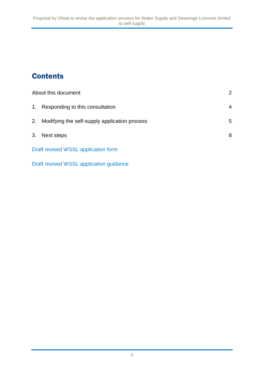# **Contents**

|    | About this document                           |   |
|----|-----------------------------------------------|---|
| 1. | Responding to this consultation               | 4 |
| 2. | Modifying the self-supply application process | 5 |
| 3. | Next steps                                    | 8 |
|    | Draft revised WSSL application form           |   |

[Draft revised WSSL application guidance](https://www.ofwat.gov.uk/wp-content/uploads/2018/03/Draft-application-guidance-for-Water-Supply-Licence-and-or-Sewerage-Licence-WSSL-limited-to-self-supply-1.pdf)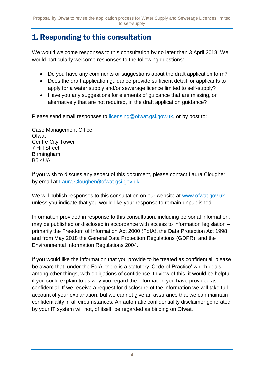### <span id="page-3-0"></span>1.Responding to this consultation

We would welcome responses to this consultation by no later than 3 April 2018. We would particularly welcome responses to the following questions:

- Do you have any comments or suggestions about the draft application form?
- Does the draft application guidance provide sufficient detail for applicants to apply for a water supply and/or sewerage licence limited to self-supply?
- Have you any suggestions for elements of guidance that are missing, or alternatively that are not required, in the draft application guidance?

Please send email responses to [licensing@ofwat.gsi.gov.uk,](https://ofwat.sharepoint.com/sites/rms/pr-moe/fp-lp/17%2009%20Revisions%20to%20WSSL%20guidance%20and%20application%20form%20(inc.%20self-supply)/Policy%20and%20analysis/licensing@ofwat.gsi.gov.uk) or by post to:

Case Management Office **Ofwat** Centre City Tower 7 Hill Street Birmingham B5 4UA

If you wish to discuss any aspect of this document, please contact Laura Clougher by email at Laura.Clougher@ofwat.gsi.gov.uk.

We will publish responses to this consultation on our website at [www.ofwat.gov.uk,](http://www.ofwat.gov.uk/) unless you indicate that you would like your response to remain unpublished.

Information provided in response to this consultation, including personal information, may be published or disclosed in accordance with access to information legislation – primarily the Freedom of Information Act 2000 (FoIA), the Data Protection Act 1998 and from May 2018 the General Data Protection Regulations (GDPR), and the Environmental Information Regulations 2004.

If you would like the information that you provide to be treated as confidential, please be aware that, under the FoIA, there is a statutory 'Code of Practice' which deals, among other things, with obligations of confidence. In view of this, it would be helpful if you could explain to us why you regard the information you have provided as confidential. If we receive a request for disclosure of the information we will take full account of your explanation, but we cannot give an assurance that we can maintain confidentiality in all circumstances. An automatic confidentiality disclaimer generated by your IT system will not, of itself, be regarded as binding on Ofwat.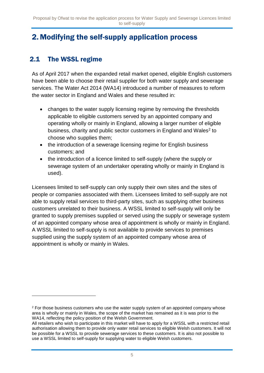### <span id="page-4-0"></span>2. Modifying the self-supply application process

#### 2.1 The WSSL regime

1

As of April 2017 when the expanded retail market opened, eligible English customers have been able to choose their retail supplier for both water supply and sewerage services. The Water Act 2014 (WA14) introduced a number of measures to reform the water sector in England and Wales and these resulted in:

- changes to the water supply licensing regime by removing the thresholds applicable to eligible customers served by an appointed company and operating wholly or mainly in England, allowing a larger number of eligible business, charity and public sector customers in England and Wales<sup>2</sup> to choose who supplies them;
- the introduction of a sewerage licensing regime for English business customers; and
- the introduction of a licence limited to self-supply (where the supply or sewerage system of an undertaker operating wholly or mainly in England is used).

Licensees limited to self-supply can only supply their own sites and the sites of people or companies associated with them. Licensees limited to self-supply are not able to supply retail services to third-party sites, such as supplying other business customers unrelated to their business. A WSSL limited to self-supply will only be granted to supply premises supplied or served using the supply or sewerage system of an appointed company whose area of appointment is wholly or mainly in England. A WSSL limited to self-supply is not available to provide services to premises supplied using the supply system of an appointed company whose area of appointment is wholly or mainly in Wales.

 $2$  For those business customers who use the water supply system of an appointed company whose area is wholly or mainly in Wales, the scope of the market has remained as it is was prior to the WA14, reflecting the policy position of the Welsh Government.

All retailers who wish to participate in this market will have to apply for a WSSL with a restricted retail authorisation allowing them to provide only water retail services to eligible Welsh customers. It will not be possible for a WSSL to provide sewerage services to these customers. It is also not possible to use a WSSL limited to self-supply for supplying water to eligible Welsh customers.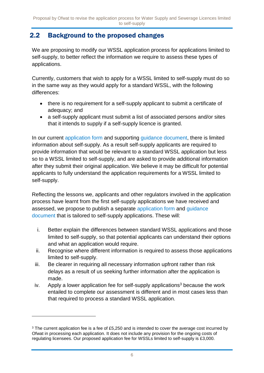#### 2.2 Background to the proposed changes

We are proposing to modify our WSSL application process for applications limited to self-supply, to better reflect the information we require to assess these types of applications.

Currently, customers that wish to apply for a WSSL limited to self-supply must do so in the same way as they would apply for a standard WSSL, with the following differences:

- there is no requirement for a self-supply applicant to submit a certificate of adequacy; and
- a self-supply applicant must submit a list of associated persons and/or sites that it intends to supply if a self-supply licence is granted.

In our current [application form](https://www.ofwat.gov.uk/wp-content/uploads/2016/10/Water-supply-licence-and-or-sewerage-licence-application-form-v2a.pdf) and supporting [guidance document,](https://www.ofwat.gov.uk/wp-content/uploads/2016/10/gud_pro20161031FinalWSSLguidanceV2.pdf) there is limited information about self-supply. As a result self-supply applicants are required to provide information that would be relevant to a standard WSSL application but less so to a WSSL limited to self-supply, and are asked to provide additional information after they submit their original application. We believe it may be difficult for potential applicants to fully understand the application requirements for a WSSL limited to self-supply.

Reflecting the lessons we, applicants and other regulators involved in the application process have learnt from the first self-supply applications we have received and assessed, we propose to publish a separate [application form](https://www.ofwat.gov.uk/publication/water-supply-licence-and-or-sewerage-licence-limited-to-self-supply-application-form-version-1/) and [guidance](https://www.ofwat.gov.uk/publication/draft-application-guidance-for-water-supply-licence-and-or-sewerage-licence-wssl-limited-to-self-supply/)  [document](https://www.ofwat.gov.uk/publication/draft-application-guidance-for-water-supply-licence-and-or-sewerage-licence-wssl-limited-to-self-supply/) that is tailored to self-supply applications. These will:

- i. Better explain the differences between standard WSSL applications and those limited to self-supply, so that potential applicants can understand their options and what an application would require.
- ii. Recognise where different information is required to assess those applications limited to self-supply.
- iii. Be clearer in requiring all necessary information upfront rather than risk delays as a result of us seeking further information after the application is made.
- iv. Apply a lower application fee for self-supply applications<sup>3</sup> because the work entailed to complete our assessment is different and in most cases less than that required to process a standard WSSL application.

1

<sup>&</sup>lt;sup>3</sup> The current application fee is a fee of £5,250 and is intended to cover the average cost incurred by Ofwat in processing each application. It does not include any provision for the ongoing costs of regulating licensees. Our proposed application fee for WSSLs limited to self-supply is £3,000.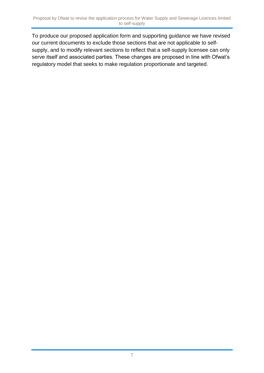To produce our proposed application form and supporting guidance we have revised our current documents to exclude those sections that are not applicable to selfsupply, and to modify relevant sections to reflect that a self-supply licensee can only serve itself and associated parties. These changes are proposed in line with Ofwat's regulatory model that seeks to make regulation proportionate and targeted.